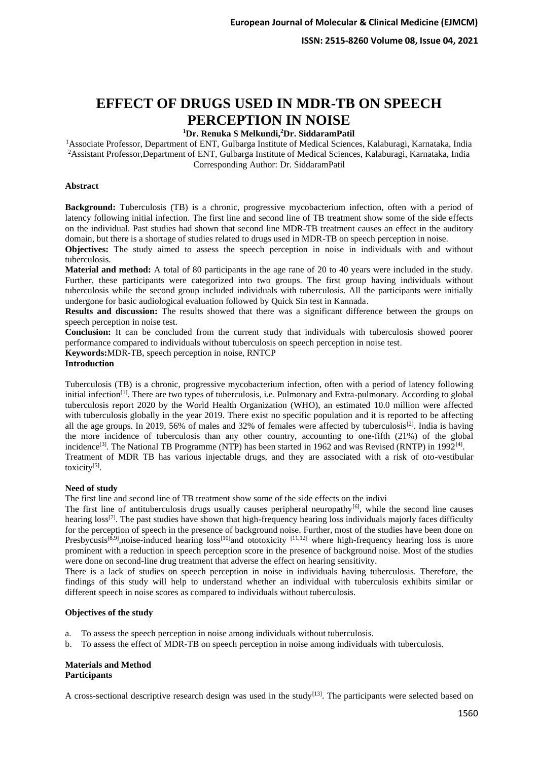# **EFFECT OF DRUGS USED IN MDR-TB ON SPEECH PERCEPTION IN NOISE**

# **<sup>1</sup>Dr. Renuka S Melkundi,<sup>2</sup>Dr. SiddaramPatil**

<sup>1</sup>Associate Professor, Department of ENT, Gulbarga Institute of Medical Sciences, Kalaburagi, Karnataka, India <sup>2</sup>Assistant Professor,Department of ENT, Gulbarga Institute of Medical Sciences, Kalaburagi, Karnataka, India Corresponding Author: Dr. SiddaramPatil

## **Abstract**

**Background:** Tuberculosis (TB) is a chronic, progressive mycobacterium infection, often with a period of latency following initial infection. The first line and second line of TB treatment show some of the side effects on the individual. Past studies had shown that second line MDR-TB treatment causes an effect in the auditory domain, but there is a shortage of studies related to drugs used in MDR-TB on speech perception in noise.

**Objectives:** The study aimed to assess the speech perception in noise in individuals with and without tuberculosis.

**Material and method:** A total of 80 participants in the age rane of 20 to 40 years were included in the study. Further, these participants were categorized into two groups. The first group having individuals without tuberculosis while the second group included individuals with tuberculosis. All the participants were initially undergone for basic audiological evaluation followed by Quick Sin test in Kannada.

**Results and discussion:** The results showed that there was a significant difference between the groups on speech perception in noise test.

**Conclusion:** It can be concluded from the current study that individuals with tuberculosis showed poorer performance compared to individuals without tuberculosis on speech perception in noise test.

**Keywords:**MDR-TB, speech perception in noise, RNTCP

#### **Introduction**

Tuberculosis (TB) is a chronic, progressive mycobacterium infection, often with a period of latency following initial infection<sup>[1]</sup>. There are two types of tuberculosis, i.e. Pulmonary and Extra-pulmonary. According to global tuberculosis report 2020 by the World Health Organization (WHO), an estimated 10.0 million were affected with tuberculosis globally in the year 2019. There exist no specific population and it is reported to be affecting all the age groups. In 2019, 56% of males and 32% of females were affected by tuberculosis<sup>[2]</sup>. India is having the more incidence of tuberculosis than any other country, accounting to one-fifth (21%) of the global incidence<sup>[3]</sup>. The National TB Programme (NTP) has been started in 1962 and was Revised (RNTP) in 1992<sup>[4]</sup>. Treatment of MDR TB has various injectable drugs, and they are associated with a risk of oto-vestibular toxicity<sup>[5]</sup>.

#### **Need of study**

The first line and second line of TB treatment show some of the side effects on the indivi

The first line of antituberculosis drugs usually causes peripheral neuropathy<sup>[6]</sup>, while the second line causes hearing loss<sup>[7]</sup>. The past studies have shown that high-frequency hearing loss individuals majorly faces difficulty for the perception of speech in the presence of background noise. Further, most of the studies have been done on Presbycusis<sup>[8,9]</sup>,noise-induced hearing loss<sup>[10]</sup>and ototoxicity <sup>[11,12]</sup> where high-frequency hearing loss is more prominent with a reduction in speech perception score in the presence of background noise. Most of the studies were done on second-line drug treatment that adverse the effect on hearing sensitivity.

There is a lack of studies on speech perception in noise in individuals having tuberculosis. Therefore, the findings of this study will help to understand whether an individual with tuberculosis exhibits similar or different speech in noise scores as compared to individuals without tuberculosis.

#### **Objectives of the study**

- a. To assess the speech perception in noise among individuals without tuberculosis.
- b. To assess the effect of MDR-TB on speech perception in noise among individuals with tuberculosis.

## **Materials and Method Participants**

A cross-sectional descriptive research design was used in the study<sup>[13]</sup>. The participants were selected based on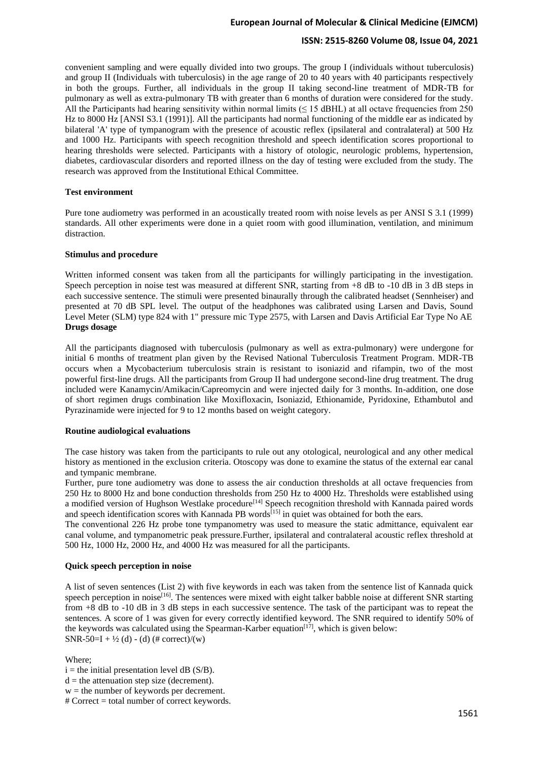# **European Journal of Molecular & Clinical Medicine (EJMCM)**

# **ISSN: 2515-8260 Volume 08, Issue 04, 2021**

convenient sampling and were equally divided into two groups. The group I (individuals without tuberculosis) and group II (Individuals with tuberculosis) in the age range of 20 to 40 years with 40 participants respectively in both the groups. Further, all individuals in the group II taking second-line treatment of MDR-TB for pulmonary as well as extra-pulmonary TB with greater than 6 months of duration were considered for the study. All the Participants had hearing sensitivity within normal limits  $( \leq 15 \text{ dBHL})$  at all octave frequencies from 250 Hz to 8000 Hz [ANSI S3.1 (1991)]. All the participants had normal functioning of the middle ear as indicated by bilateral 'A' type of tympanogram with the presence of acoustic reflex (ipsilateral and contralateral) at 500 Hz and 1000 Hz. Participants with speech recognition threshold and speech identification scores proportional to hearing thresholds were selected. Participants with a history of otologic, neurologic problems, hypertension, diabetes, cardiovascular disorders and reported illness on the day of testing were excluded from the study. The research was approved from the Institutional Ethical Committee.

## **Test environment**

Pure tone audiometry was performed in an acoustically treated room with noise levels as per ANSI S 3.1 (1999) standards. All other experiments were done in a quiet room with good illumination, ventilation, and minimum distraction.

## **Stimulus and procedure**

Written informed consent was taken from all the participants for willingly participating in the investigation. Speech perception in noise test was measured at different SNR, starting from +8 dB to -10 dB in 3 dB steps in each successive sentence. The stimuli were presented binaurally through the calibrated headset (Sennheiser) and presented at 70 dB SPL level. The output of the headphones was calibrated using Larsen and Davis, Sound Level Meter (SLM) type 824 with 1" pressure mic Type 2575, with Larsen and Davis Artificial Ear Type No AE **Drugs dosage**

All the participants diagnosed with tuberculosis (pulmonary as well as extra-pulmonary) were undergone for initial 6 months of treatment plan given by the Revised National Tuberculosis Treatment Program. MDR-TB occurs when a Mycobacterium tuberculosis strain is resistant to isoniazid and rifampin, two of the most powerful first-line drugs. All the participants from Group II had undergone second-line drug treatment. The drug included were Kanamycin/Amikacin/Capreomycin and were injected daily for 3 months. In-addition, one dose of short regimen drugs combination like Moxifloxacin, Isoniazid, Ethionamide, Pyridoxine, Ethambutol and Pyrazinamide were injected for 9 to 12 months based on weight category.

# **Routine audiological evaluations**

The case history was taken from the participants to rule out any otological, neurological and any other medical history as mentioned in the exclusion criteria. Otoscopy was done to examine the status of the external ear canal and tympanic membrane.

Further, pure tone audiometry was done to assess the air conduction thresholds at all octave frequencies from 250 Hz to 8000 Hz and bone conduction thresholds from 250 Hz to 4000 Hz. Thresholds were established using a modified version of Hughson Westlake procedure<sup>[14]</sup> Speech recognition threshold with Kannada paired words and speech identification scores with Kannada PB words<sup>[15]</sup> in quiet was obtained for both the ears.

The conventional 226 Hz probe tone tympanometry was used to measure the static admittance, equivalent ear canal volume, and tympanometric peak pressure.Further, ipsilateral and contralateral acoustic reflex threshold at 500 Hz, 1000 Hz, 2000 Hz, and 4000 Hz was measured for all the participants.

# **Quick speech perception in noise**

A list of seven sentences (List 2) with five keywords in each was taken from the sentence list of Kannada quick speech perception in noise<sup>[16]</sup>. The sentences were mixed with eight talker babble noise at different SNR starting from +8 dB to -10 dB in 3 dB steps in each successive sentence. The task of the participant was to repeat the sentences. A score of 1 was given for every correctly identified keyword. The SNR required to identify 50% of the keywords was calculated using the Spearman-Karber equation<sup>[17]</sup>, which is given below: SNR-50=I +  $\frac{1}{2}$  (d) - (d) (# correct)/(w)

# Where;

- $i =$  the initial presentation level dB (S/B).
- $d =$  the attenuation step size (decrement).
- $w =$  the number of keywords per decrement.
- # Correct = total number of correct keywords.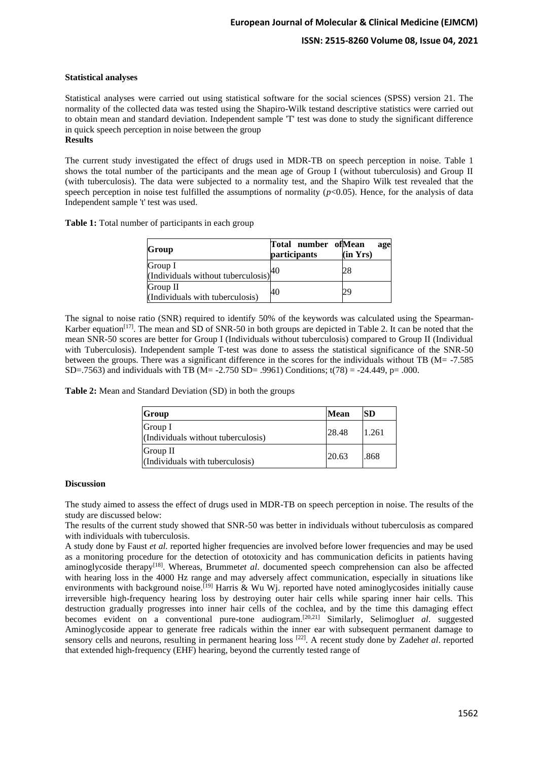# **ISSN: 2515-8260 Volume 08, Issue 04, 2021**

## **Statistical analyses**

Statistical analyses were carried out using statistical software for the social sciences (SPSS) version 21. The normality of the collected data was tested using the Shapiro-Wilk testand descriptive statistics were carried out to obtain mean and standard deviation. Independent sample 'T' test was done to study the significant difference in quick speech perception in noise between the group **Results**

The current study investigated the effect of drugs used in MDR-TB on speech perception in noise. Table 1 shows the total number of the participants and the mean age of Group I (without tuberculosis) and Group II (with tuberculosis). The data were subjected to a normality test, and the Shapiro Wilk test revealed that the speech perception in noise test fulfilled the assumptions of normality  $(p<0.05)$ . Hence, for the analysis of data Independent sample 't' test was used.

**Table 1:** Total number of participants in each group

| Group                                              | Total number of Mean<br><i>participants</i> | age<br>(in Yrs) |
|----------------------------------------------------|---------------------------------------------|-----------------|
| Group I<br>(Individuals without tuberculosis) $40$ |                                             | 28              |
| Group II<br>(Individuals with tuberculosis)        | 40                                          | 29              |

The signal to noise ratio (SNR) required to identify 50% of the keywords was calculated using the Spearman-Karber equation<sup>[17]</sup>. The mean and SD of SNR-50 in both groups are depicted in Table 2. It can be noted that the mean SNR-50 scores are better for Group I (Individuals without tuberculosis) compared to Group II (Individual with Tuberculosis). Independent sample T-test was done to assess the statistical significance of the SNR-50 between the groups. There was a significant difference in the scores for the individuals without TB (M= -7.585 SD=.7563) and individuals with TB (M= -2.750 SD= .9961) Conditions;  $t(78) = -24.449$ , p= .000.

**Table 2:** Mean and Standard Deviation (SD) in both the groups

| Group                                         | Mean  | <b>SD</b> |
|-----------------------------------------------|-------|-----------|
| Group I<br>(Individuals without tuberculosis) | 28.48 | 1.261     |
| Group II<br>(Individuals with tuberculosis)   | 20.63 | .868      |

#### **Discussion**

The study aimed to assess the effect of drugs used in MDR-TB on speech perception in noise. The results of the study are discussed below:

The results of the current study showed that SNR-50 was better in individuals without tuberculosis as compared with individuals with tuberculosis.

A study done by Faust *et al.* reported higher frequencies are involved before lower frequencies and may be used as a monitoring procedure for the detection of ototoxicity and has communication deficits in patients having aminoglycoside therapy<sup>[18]</sup>. Whereas, Brummet*et al*. documented speech comprehension can also be affected with hearing loss in the 4000 Hz range and may adversely affect communication, especially in situations like environments with background noise.<sup>[19]</sup> Harris & Wu Wj. reported have noted aminoglycosides initially cause irreversible high-frequency hearing loss by destroying outer hair cells while sparing inner hair cells. This destruction gradually progresses into inner hair cells of the cochlea, and by the time this damaging effect becomes evident on a conventional pure-tone audiogram.[20,21] Similarly, Selimoglu*et al*. suggested Aminoglycoside appear to generate free radicals within the inner ear with subsequent permanent damage to sensory cells and neurons, resulting in permanent hearing loss [22] . A recent study done by Zadeh*et al*. reported that extended high-frequency (EHF) hearing, beyond the currently tested range of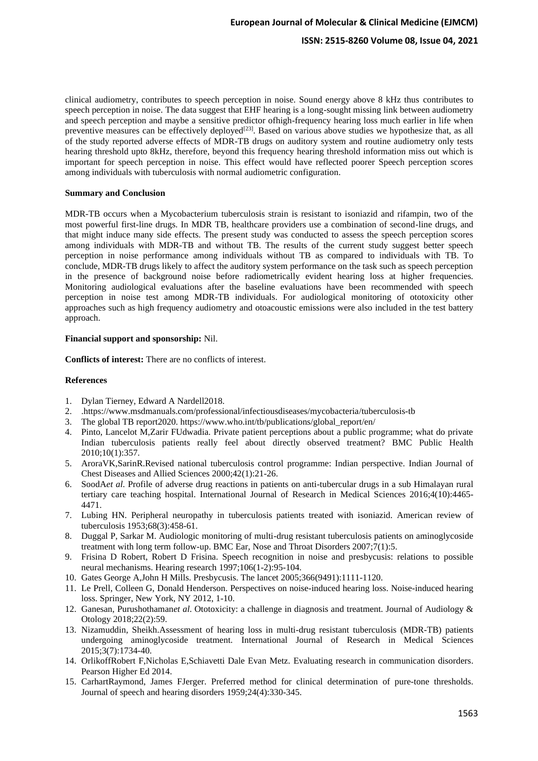# **ISSN: 2515-8260 Volume 08, Issue 04, 2021**

clinical audiometry, contributes to speech perception in noise. Sound energy above 8 kHz thus contributes to speech perception in noise. The data suggest that EHF hearing is a long-sought missing link between audiometry and speech perception and maybe a sensitive predictor ofhigh-frequency hearing loss much earlier in life when preventive measures can be effectively deployed<sup>[23]</sup>. Based on various above studies we hypothesize that, as all of the study reported adverse effects of MDR-TB drugs on auditory system and routine audiometry only tests hearing threshold upto 8kHz, therefore, beyond this frequency hearing threshold information miss out which is important for speech perception in noise. This effect would have reflected poorer Speech perception scores among individuals with tuberculosis with normal audiometric configuration.

#### **Summary and Conclusion**

MDR-TB occurs when a Mycobacterium tuberculosis strain is resistant to isoniazid and rifampin, two of the most powerful first-line drugs. In MDR TB, healthcare providers use a combination of second-line drugs, and that might induce many side effects. The present study was conducted to assess the speech perception scores among individuals with MDR-TB and without TB. The results of the current study suggest better speech perception in noise performance among individuals without TB as compared to individuals with TB. To conclude, MDR-TB drugs likely to affect the auditory system performance on the task such as speech perception in the presence of background noise before radiometrically evident hearing loss at higher frequencies. Monitoring audiological evaluations after the baseline evaluations have been recommended with speech perception in noise test among MDR-TB individuals. For audiological monitoring of ototoxicity other approaches such as high frequency audiometry and otoacoustic emissions were also included in the test battery approach.

# **Financial support and sponsorship:** Nil.

**Conflicts of interest:** There are no conflicts of interest.

## **References**

- 1. Dylan Tierney, Edward A Nardell2018.
- 2. .https://www.msdmanuals.com/professional/infectiousdiseases/mycobacteria/tuberculosis-tb
- 3. The global TB report2020. https://www.who.int/tb/publications/global\_report/en/
- 4. Pinto, Lancelot M,Zarir FUdwadia. Private patient perceptions about a public programme; what do private Indian tuberculosis patients really feel about directly observed treatment? BMC Public Health 2010;10(1):357.
- 5. AroraVK,SarinR.Revised national tuberculosis control programme: Indian perspective. Indian Journal of Chest Diseases and Allied Sciences 2000;42(1):21-26.
- 6. SoodA*et al*. Profile of adverse drug reactions in patients on anti-tubercular drugs in a sub Himalayan rural tertiary care teaching hospital. International Journal of Research in Medical Sciences 2016;4(10):4465- 4471.
- 7. Lubing HN. Peripheral neuropathy in tuberculosis patients treated with isoniazid. American review of tuberculosis 1953;68(3):458-61.
- 8. Duggal P, Sarkar M. Audiologic monitoring of multi-drug resistant tuberculosis patients on aminoglycoside treatment with long term follow-up. BMC Ear, Nose and Throat Disorders 2007;7(1):5.
- 9. Frisina D Robert, Robert D Frisina. Speech recognition in noise and presbycusis: relations to possible neural mechanisms. Hearing research 1997;106(1-2):95-104.
- 10. Gates George A,John H Mills. Presbycusis. The lancet 2005;366(9491):1111-1120.
- 11. Le Prell, Colleen G, Donald Henderson. Perspectives on noise-induced hearing loss. Noise-induced hearing loss. Springer, New York, NY 2012, 1-10.
- 12. Ganesan, Purushothaman*et al*. Ototoxicity: a challenge in diagnosis and treatment. Journal of Audiology & Otology 2018;22(2):59.
- 13. Nizamuddin, Sheikh.Assessment of hearing loss in multi-drug resistant tuberculosis (MDR-TB) patients undergoing aminoglycoside treatment. International Journal of Research in Medical Sciences 2015;3(7):1734-40.
- 14. OrlikoffRobert F,Nicholas E,Schiavetti Dale Evan Metz. Evaluating research in communication disorders. Pearson Higher Ed 2014.
- 15. CarhartRaymond, James FJerger. Preferred method for clinical determination of pure-tone thresholds. Journal of speech and hearing disorders 1959;24(4):330-345.